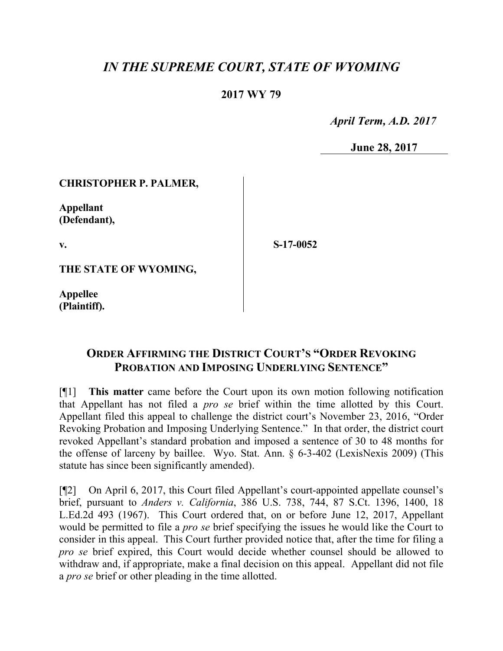# *IN THE SUPREME COURT, STATE OF WYOMING*

### **2017 WY 79**

 *April Term, A.D. 2017*

**June 28, 2017**

#### **CHRISTOPHER P. PALMER,**

**Appellant (Defendant),**

**v.**

**S-17-0052**

**THE STATE OF WYOMING,**

**Appellee (Plaintiff).**

## **ORDER AFFIRMING THE DISTRICT COURT'S "ORDER REVOKING PROBATION AND IMPOSING UNDERLYING SENTENCE"**

[¶1] **This matter** came before the Court upon its own motion following notification that Appellant has not filed a *pro se* brief within the time allotted by this Court. Appellant filed this appeal to challenge the district court's November 23, 2016, "Order Revoking Probation and Imposing Underlying Sentence." In that order, the district court revoked Appellant's standard probation and imposed a sentence of 30 to 48 months for the offense of larceny by baillee. Wyo. Stat. Ann. § 6-3-402 (LexisNexis 2009) (This statute has since been significantly amended).

[¶2] On April 6, 2017, this Court filed Appellant's court-appointed appellate counsel's brief, pursuant to *Anders v. California*, 386 U.S. 738, 744, 87 S.Ct. 1396, 1400, 18 L.Ed.2d 493 (1967). This Court ordered that, on or before June 12, 2017, Appellant would be permitted to file a *pro se* brief specifying the issues he would like the Court to consider in this appeal. This Court further provided notice that, after the time for filing a *pro se* brief expired, this Court would decide whether counsel should be allowed to withdraw and, if appropriate, make a final decision on this appeal. Appellant did not file a *pro se* brief or other pleading in the time allotted.